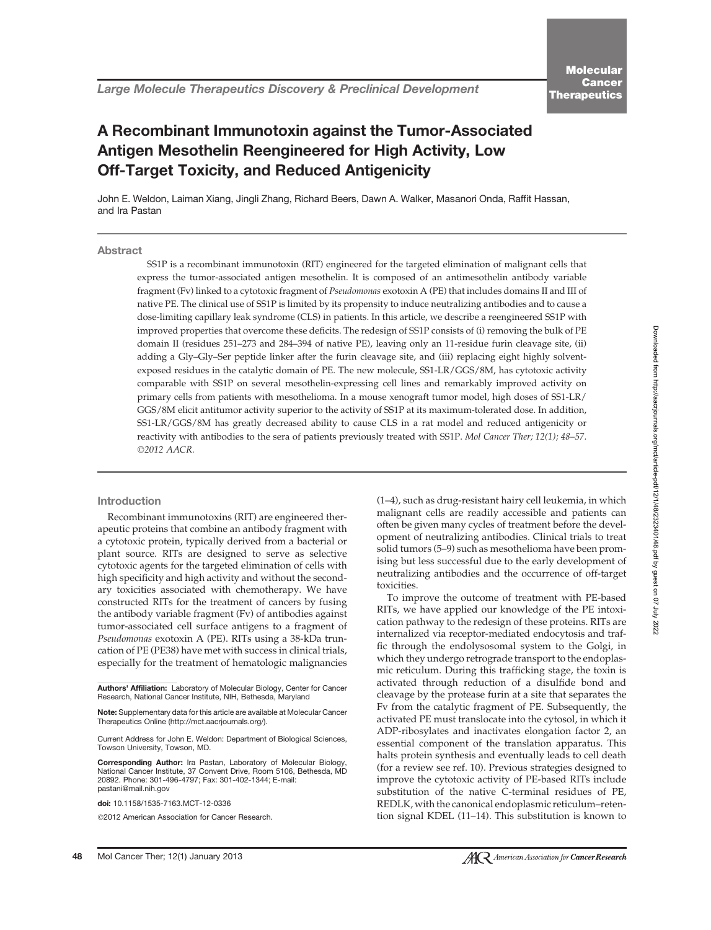# A Recombinant Immunotoxin against the Tumor-Associated Antigen Mesothelin Reengineered for High Activity, Low Off-Target Toxicity, and Reduced Antigenicity

John E. Weldon, Laiman Xiang, Jingli Zhang, Richard Beers, Dawn A. Walker, Masanori Onda, Raffit Hassan, and Ira Pastan

## **Abstract**

SS1P is a recombinant immunotoxin (RIT) engineered for the targeted elimination of malignant cells that express the tumor-associated antigen mesothelin. It is composed of an antimesothelin antibody variable fragment (Fv) linked to a cytotoxic fragment of Pseudomonas exotoxin A (PE) that includes domains II and III of native PE. The clinical use of SS1P is limited by its propensity to induce neutralizing antibodies and to cause a dose-limiting capillary leak syndrome (CLS) in patients. In this article, we describe a reengineered SS1P with improved properties that overcome these deficits. The redesign of SS1P consists of (i) removing the bulk of PE domain II (residues 251–273 and 284–394 of native PE), leaving only an 11-residue furin cleavage site, (ii) adding a Gly–Gly–Ser peptide linker after the furin cleavage site, and (iii) replacing eight highly solventexposed residues in the catalytic domain of PE. The new molecule, SS1-LR/GGS/8M, has cytotoxic activity comparable with SS1P on several mesothelin-expressing cell lines and remarkably improved activity on primary cells from patients with mesothelioma. In a mouse xenograft tumor model, high doses of SS1-LR/ GGS/8M elicit antitumor activity superior to the activity of SS1P at its maximum-tolerated dose. In addition, SS1-LR/GGS/8M has greatly decreased ability to cause CLS in a rat model and reduced antigenicity or reactivity with antibodies to the sera of patients previously treated with SS1P. Mol Cancer Ther; 12(1); 48–57. ©2012 AACR.

#### Introduction

Recombinant immunotoxins (RIT) are engineered therapeutic proteins that combine an antibody fragment with a cytotoxic protein, typically derived from a bacterial or plant source. RITs are designed to serve as selective cytotoxic agents for the targeted elimination of cells with high specificity and high activity and without the secondary toxicities associated with chemotherapy. We have constructed RITs for the treatment of cancers by fusing the antibody variable fragment (Fv) of antibodies against tumor-associated cell surface antigens to a fragment of Pseudomonas exotoxin A (PE). RITs using a 38-kDa truncation of PE (PE38) have met with success in clinical trials, especially for the treatment of hematologic malignancies

Authors' Affiliation: Laboratory of Molecular Biology, Center for Cancer Research, National Cancer Institute, NIH, Bethesda, Maryland

Note: Supplementary data for this article are available at Molecular Cancer Therapeutics Online (http://mct.aacrjournals.org/).

Current Address for John E. Weldon: Department of Biological Sciences, Towson University, Towson, MD.

Corresponding Author: Ira Pastan, Laboratory of Molecular Biology, National Cancer Institute, 37 Convent Drive, Room 5106, Bethesda, MD 20892. Phone: 301-496-4797; Fax: 301-402-1344; E-mail: pastani@mail.nih.gov

doi: 10.1158/1535-7163.MCT-12-0336

2012 American Association for Cancer Research.

(1–4), such as drug-resistant hairy cell leukemia, in which malignant cells are readily accessible and patients can often be given many cycles of treatment before the development of neutralizing antibodies. Clinical trials to treat solid tumors (5–9) such as mesothelioma have been promising but less successful due to the early development of neutralizing antibodies and the occurrence of off-target toxicities.

To improve the outcome of treatment with PE-based RITs, we have applied our knowledge of the PE intoxication pathway to the redesign of these proteins. RITs are internalized via receptor-mediated endocytosis and traffic through the endolysosomal system to the Golgi, in which they undergo retrograde transport to the endoplasmic reticulum. During this trafficking stage, the toxin is activated through reduction of a disulfide bond and cleavage by the protease furin at a site that separates the Fv from the catalytic fragment of PE. Subsequently, the activated PE must translocate into the cytosol, in which it ADP-ribosylates and inactivates elongation factor 2, an essential component of the translation apparatus. This halts protein synthesis and eventually leads to cell death (for a review see ref. 10). Previous strategies designed to improve the cytotoxic activity of PE-based RITs include substitution of the native C-terminal residues of PE, REDLK, with the canonical endoplasmic reticulum–retention signal KDEL (11–14). This substitution is known to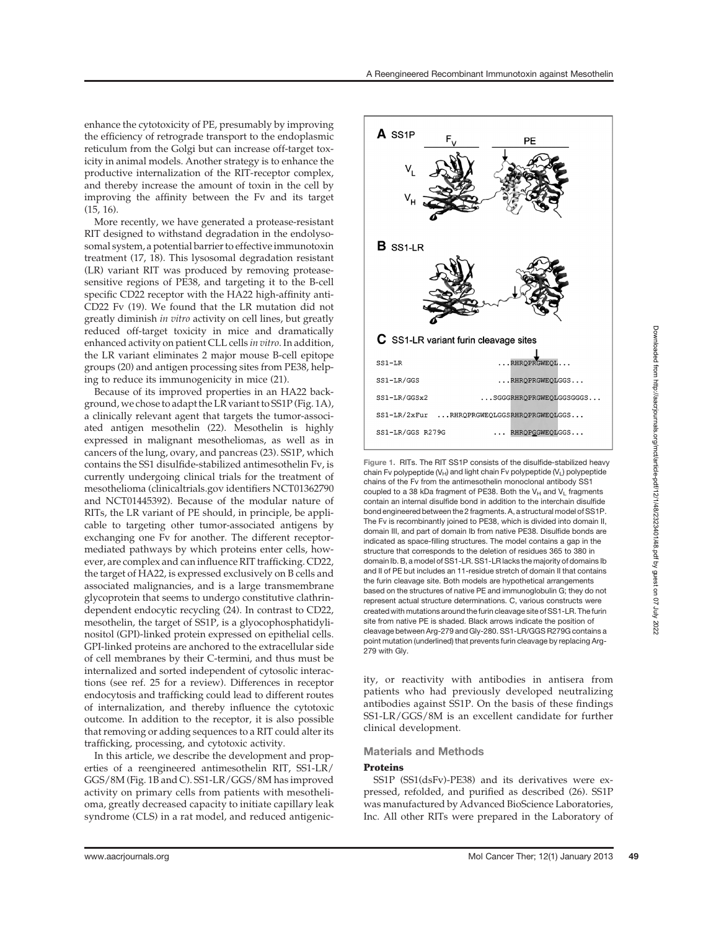enhance the cytotoxicity of PE, presumably by improving the efficiency of retrograde transport to the endoplasmic reticulum from the Golgi but can increase off-target toxicity in animal models. Another strategy is to enhance the productive internalization of the RIT-receptor complex, and thereby increase the amount of toxin in the cell by improving the affinity between the Fv and its target (15, 16).

More recently, we have generated a protease-resistant RIT designed to withstand degradation in the endolysosomal system, a potential barrier to effective immunotoxin treatment (17, 18). This lysosomal degradation resistant (LR) variant RIT was produced by removing proteasesensitive regions of PE38, and targeting it to the B-cell specific CD22 receptor with the HA22 high-affinity anti-CD22 Fv (19). We found that the LR mutation did not greatly diminish in vitro activity on cell lines, but greatly reduced off-target toxicity in mice and dramatically enhanced activity on patient CLL cells in vitro. In addition, the LR variant eliminates 2 major mouse B-cell epitope groups (20) and antigen processing sites from PE38, helping to reduce its immunogenicity in mice (21).

Because of its improved properties in an HA22 background, we chose to adapt the LR variant to SS1P (Fig. 1A), a clinically relevant agent that targets the tumor-associated antigen mesothelin (22). Mesothelin is highly expressed in malignant mesotheliomas, as well as in cancers of the lung, ovary, and pancreas (23). SS1P, which contains the SS1 disulfide-stabilized antimesothelin Fv, is currently undergoing clinical trials for the treatment of mesothelioma (clinicaltrials.gov identifiers NCT01362790 and NCT01445392). Because of the modular nature of RITs, the LR variant of PE should, in principle, be applicable to targeting other tumor-associated antigens by exchanging one Fv for another. The different receptormediated pathways by which proteins enter cells, however, are complex and can influence RIT trafficking. CD22, the target of HA22, is expressed exclusively on B cells and associated malignancies, and is a large transmembrane glycoprotein that seems to undergo constitutive clathrindependent endocytic recycling (24). In contrast to CD22, mesothelin, the target of SS1P, is a glyocophosphatidylinositol (GPI)-linked protein expressed on epithelial cells. GPI-linked proteins are anchored to the extracellular side of cell membranes by their C-termini, and thus must be internalized and sorted independent of cytosolic interactions (see ref. 25 for a review). Differences in receptor endocytosis and trafficking could lead to different routes of internalization, and thereby influence the cytotoxic outcome. In addition to the receptor, it is also possible that removing or adding sequences to a RIT could alter its trafficking, processing, and cytotoxic activity.

In this article, we describe the development and properties of a reengineered antimesothelin RIT, SS1-LR/ GGS/8M (Fig. 1B and C). SS1-LR/GGS/8M has improved activity on primary cells from patients with mesothelioma, greatly decreased capacity to initiate capillary leak syndrome (CLS) in a rat model, and reduced antigenic-



Figure 1. RITs. The RIT SS1P consists of the disulfide-stabilized heavy chain Fv polypeptide ( $V_H$ ) and light chain Fv polypeptide ( $V_L$ ) polypeptide chains of the Fv from the antimesothelin monoclonal antibody SS1 coupled to a 38 kDa fragment of PE38. Both the  $V_H$  and  $V_L$  fragments contain an internal disulfide bond in addition to the interchain disulfide bond engineered between the 2 fragments. A, a structural model of SS1P. The Fv is recombinantly joined to PE38, which is divided into domain II, domain III, and part of domain Ib from native PE38. Disulfide bonds are indicated as space-filling structures. The model contains a gap in the structure that corresponds to the deletion of residues 365 to 380 in domain Ib. B, a model of SS1-LR. SS1-LR lacks the majority of domains Ib and II of PE but includes an 11-residue stretch of domain II that contains the furin cleavage site. Both models are hypothetical arrangements based on the structures of native PE and immunoglobulin G; they do not represent actual structure determinations. C, various constructs were created with mutations around the furin cleavage site of SS1-LR. The furin site from native PE is shaded. Black arrows indicate the position of cleavage between Arg-279 and Gly-280. SS1-LR/GGS R279G contains a point mutation (underlined) that prevents furin cleavage by replacing Arg-279 with Gly.

ity, or reactivity with antibodies in antisera from patients who had previously developed neutralizing antibodies against SS1P. On the basis of these findings SS1-LR/GGS/8M is an excellent candidate for further clinical development.

# Materials and Methods

#### Proteins

SS1P (SS1(dsFv)-PE38) and its derivatives were expressed, refolded, and purified as described (26). SS1P was manufactured by Advanced BioScience Laboratories, Inc. All other RITs were prepared in the Laboratory of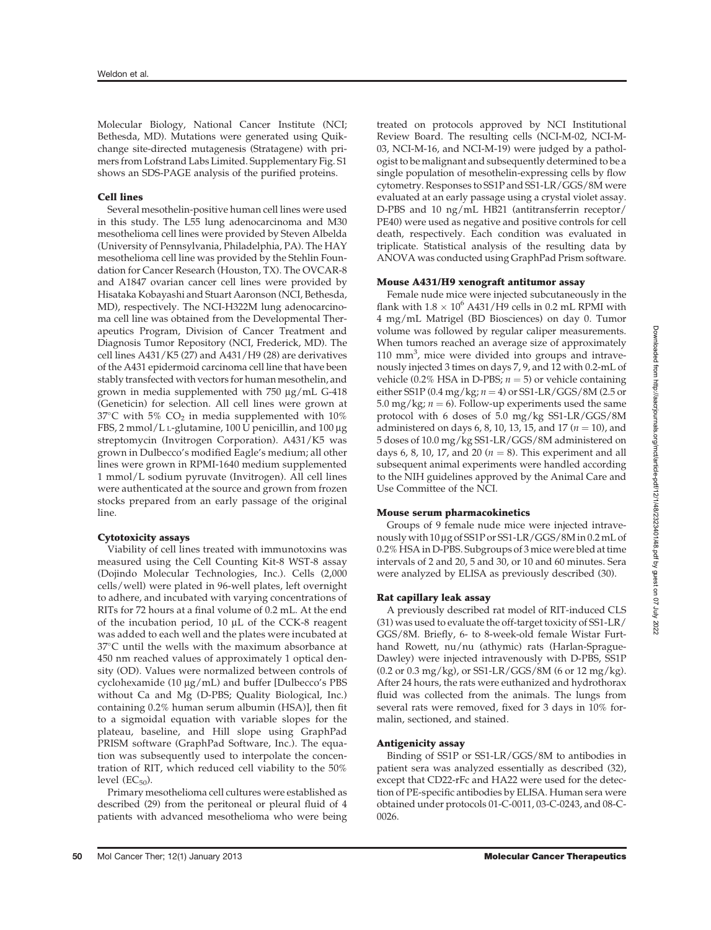Molecular Biology, National Cancer Institute (NCI; Bethesda, MD). Mutations were generated using Quikchange site-directed mutagenesis (Stratagene) with primers from Lofstrand Labs Limited. Supplementary Fig. S1 shows an SDS-PAGE analysis of the purified proteins.

## Cell lines

Several mesothelin-positive human cell lines were used in this study. The L55 lung adenocarcinoma and M30 mesothelioma cell lines were provided by Steven Albelda (University of Pennsylvania, Philadelphia, PA). The HAY mesothelioma cell line was provided by the Stehlin Foundation for Cancer Research (Houston, TX). The OVCAR-8 and A1847 ovarian cancer cell lines were provided by Hisataka Kobayashi and Stuart Aaronson (NCI, Bethesda, MD), respectively. The NCI-H322M lung adenocarcinoma cell line was obtained from the Developmental Therapeutics Program, Division of Cancer Treatment and Diagnosis Tumor Repository (NCI, Frederick, MD). The cell lines A431/K5 (27) and A431/H9 (28) are derivatives of the A431 epidermoid carcinoma cell line that have been stably transfected with vectors for human mesothelin, and grown in media supplemented with  $750 \mu g/mL$  G-418 (Geneticin) for selection. All cell lines were grown at  $37^{\circ}$ C with 5% CO<sub>2</sub> in media supplemented with 10% FBS, 2 mmol/L L-glutamine, 100 U penicillin, and 100 mg streptomycin (Invitrogen Corporation). A431/K5 was grown in Dulbecco's modified Eagle's medium; all other lines were grown in RPMI-1640 medium supplemented 1 mmol/L sodium pyruvate (Invitrogen). All cell lines were authenticated at the source and grown from frozen stocks prepared from an early passage of the original line.

#### Cytotoxicity assays

Viability of cell lines treated with immunotoxins was measured using the Cell Counting Kit-8 WST-8 assay (Dojindo Molecular Technologies, Inc.). Cells (2,000 cells/well) were plated in 96-well plates, left overnight to adhere, and incubated with varying concentrations of RITs for 72 hours at a final volume of 0.2 mL. At the end of the incubation period,  $10 \mu L$  of the CCK-8 reagent was added to each well and the plates were incubated at  $37^{\circ}$ C until the wells with the maximum absorbance at 450 nm reached values of approximately 1 optical density (OD). Values were normalized between controls of cyclohexamide (10  $\mu$ g/mL) and buffer [Dulbecco's PBS without Ca and Mg (D-PBS; Quality Biological, Inc.) containing 0.2% human serum albumin (HSA)], then fit to a sigmoidal equation with variable slopes for the plateau, baseline, and Hill slope using GraphPad PRISM software (GraphPad Software, Inc.). The equation was subsequently used to interpolate the concentration of RIT, which reduced cell viability to the 50% level  $(EC_{50})$ .

Primary mesothelioma cell cultures were established as described (29) from the peritoneal or pleural fluid of 4 patients with advanced mesothelioma who were being treated on protocols approved by NCI Institutional Review Board. The resulting cells (NCI-M-02, NCI-M-03, NCI-M-16, and NCI-M-19) were judged by a pathologist to be malignant and subsequently determined to be a single population of mesothelin-expressing cells by flow cytometry. Responses to SS1P and SS1-LR/GGS/8M were evaluated at an early passage using a crystal violet assay. D-PBS and 10 ng/mL HB21 (antitransferrin receptor/ PE40) were used as negative and positive controls for cell death, respectively. Each condition was evaluated in triplicate. Statistical analysis of the resulting data by ANOVA was conducted using GraphPad Prism software.

#### Mouse A431/H9 xenograft antitumor assay

Female nude mice were injected subcutaneously in the flank with  $1.8 \times 10^6$  A431/H9 cells in 0.2 mL RPMI with 4 mg/mL Matrigel (BD Biosciences) on day 0. Tumor volume was followed by regular caliper measurements. When tumors reached an average size of approximately 110 mm<sup>3</sup>, mice were divided into groups and intravenously injected 3 times on days 7, 9, and 12 with 0.2-mL of vehicle (0.2% HSA in D-PBS;  $n = 5$ ) or vehicle containing either SS1P (0.4 mg/kg;  $n = 4$ ) or SS1-LR/GGS/8M (2.5 or 5.0 mg/kg;  $n = 6$ ). Follow-up experiments used the same protocol with 6 doses of 5.0 mg/kg SS1-LR/GGS/8M administered on days 6, 8, 10, 13, 15, and 17 ( $n = 10$ ), and 5 doses of 10.0 mg/kg SS1-LR/GGS/8M administered on days 6, 8, 10, 17, and 20 ( $n = 8$ ). This experiment and all subsequent animal experiments were handled according to the NIH guidelines approved by the Animal Care and Use Committee of the NCI.

#### Mouse serum pharmacokinetics

Groups of 9 female nude mice were injected intravenously with 10 mg of SS1P or SS1-LR/GGS/8M in 0.2mL of 0.2% HSA in D-PBS. Subgroups of 3 mice were bled at time intervals of 2 and 20, 5 and 30, or 10 and 60 minutes. Sera were analyzed by ELISA as previously described (30).

## Rat capillary leak assay

A previously described rat model of RIT-induced CLS (31) was used to evaluate the off-target toxicity of SS1-LR/ GGS/8M. Briefly, 6- to 8-week-old female Wistar Furthand Rowett, nu/nu (athymic) rats (Harlan-Sprague-Dawley) were injected intravenously with D-PBS, SS1P (0.2 or 0.3 mg/kg), or SS1-LR/GGS/8M (6 or 12 mg/kg). After 24 hours, the rats were euthanized and hydrothorax fluid was collected from the animals. The lungs from several rats were removed, fixed for 3 days in 10% formalin, sectioned, and stained.

#### Antigenicity assay

Binding of SS1P or SS1-LR/GGS/8M to antibodies in patient sera was analyzed essentially as described (32), except that CD22-rFc and HA22 were used for the detection of PE-specific antibodies by ELISA. Human sera were obtained under protocols 01-C-0011, 03-C-0243, and 08-C-0026.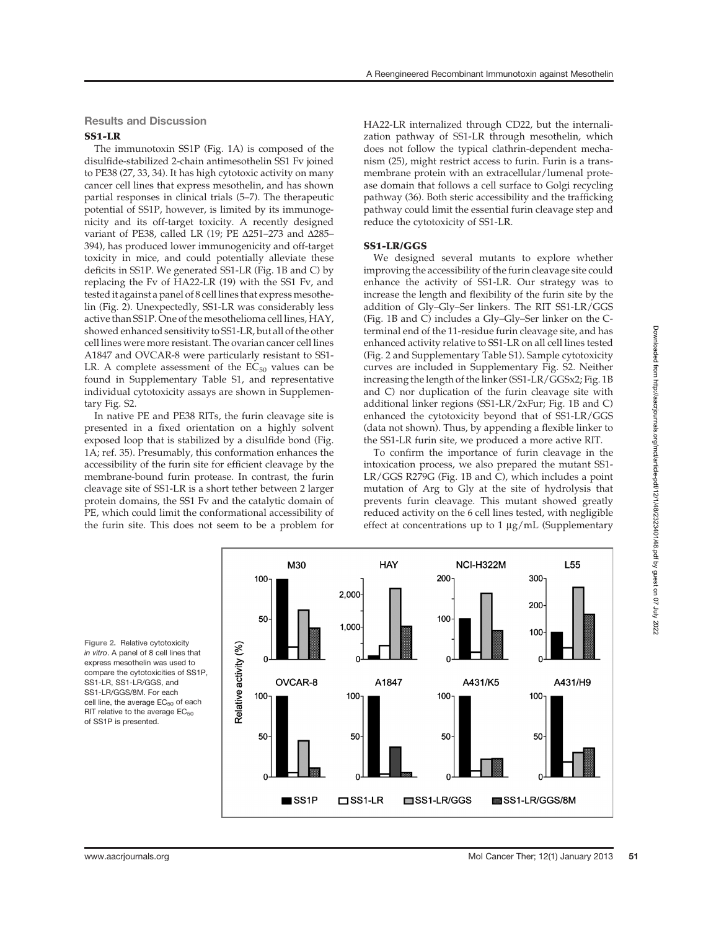## Results and Discussion

## SS1-LR

The immunotoxin SS1P (Fig. 1A) is composed of the disulfide-stabilized 2-chain antimesothelin SS1 Fv joined to PE38 (27, 33, 34). It has high cytotoxic activity on many cancer cell lines that express mesothelin, and has shown partial responses in clinical trials (5–7). The therapeutic potential of SS1P, however, is limited by its immunogenicity and its off-target toxicity. A recently designed variant of PE38, called LR (19; PE  $\Delta$ 251–273 and  $\Delta$ 285– 394), has produced lower immunogenicity and off-target toxicity in mice, and could potentially alleviate these deficits in SS1P. We generated SS1-LR (Fig. 1B and C) by replacing the Fv of HA22-LR (19) with the SS1 Fv, and tested it against a panel of 8 cell lines that express mesothelin (Fig. 2). Unexpectedly, SS1-LR was considerably less active than SS1P. One of the mesothelioma cell lines, HAY, showed enhanced sensitivity to SS1-LR, but all of the other cell lines were more resistant. The ovarian cancer cell lines A1847 and OVCAR-8 were particularly resistant to SS1- LR. A complete assessment of the  $EC_{50}$  values can be found in Supplementary Table S1, and representative individual cytotoxicity assays are shown in Supplementary Fig. S2.

In native PE and PE38 RITs, the furin cleavage site is presented in a fixed orientation on a highly solvent exposed loop that is stabilized by a disulfide bond (Fig. 1A; ref. 35). Presumably, this conformation enhances the accessibility of the furin site for efficient cleavage by the membrane-bound furin protease. In contrast, the furin cleavage site of SS1-LR is a short tether between 2 larger protein domains, the SS1 Fv and the catalytic domain of PE, which could limit the conformational accessibility of the furin site. This does not seem to be a problem for

M30

OVCAR-8

100

50

100

50

Relative activity (%)

HA22-LR internalized through CD22, but the internalization pathway of SS1-LR through mesothelin, which does not follow the typical clathrin-dependent mechanism (25), might restrict access to furin. Furin is a transmembrane protein with an extracellular/lumenal protease domain that follows a cell surface to Golgi recycling pathway (36). Both steric accessibility and the trafficking pathway could limit the essential furin cleavage step and reduce the cytotoxicity of SS1-LR.

## SS1-LR/GGS

**HAY** 

A1847

2,000

1.000

100

50

We designed several mutants to explore whether improving the accessibility of the furin cleavage site could enhance the activity of SS1-LR. Our strategy was to increase the length and flexibility of the furin site by the addition of Gly–Gly–Ser linkers. The RIT SS1-LR/GGS (Fig. 1B and C) includes a Gly–Gly–Ser linker on the Cterminal end of the 11-residue furin cleavage site, and has enhanced activity relative to SS1-LR on all cell lines tested (Fig. 2 and Supplementary Table S1). Sample cytotoxicity curves are included in Supplementary Fig. S2. Neither increasing the length of the linker (SS1-LR/GGSx2; Fig. 1B and C) nor duplication of the furin cleavage site with additional linker regions (SS1-LR/2xFur; Fig. 1B and C) enhanced the cytotoxicity beyond that of SS1-LR/GGS (data not shown). Thus, by appending a flexible linker to the SS1-LR furin site, we produced a more active RIT.

To confirm the importance of furin cleavage in the intoxication process, we also prepared the mutant SS1- LR/GGS R279G (Fig. 1B and C), which includes a point mutation of Arg to Gly at the site of hydrolysis that prevents furin cleavage. This mutant showed greatly reduced activity on the 6 cell lines tested, with negligible effect at concentrations up to  $1 \mu g/mL$  (Supplementary

NCI-H322M

A431/K5

200

100

100

50

Figure 2. Relative cytotoxicity in vitro. A panel of 8 cell lines that express mesothelin was used to compare the cytotoxicities of SS1P, SS1-LR, SS1-LR/GGS, and SS1-LR/GGS/8M. For each cell line, the average  $EC_{50}$  of each RIT relative to the average  $EC_{50}$ of SS1P is presented.



L<sub>55</sub>

A431/H9

300

200

100

100

50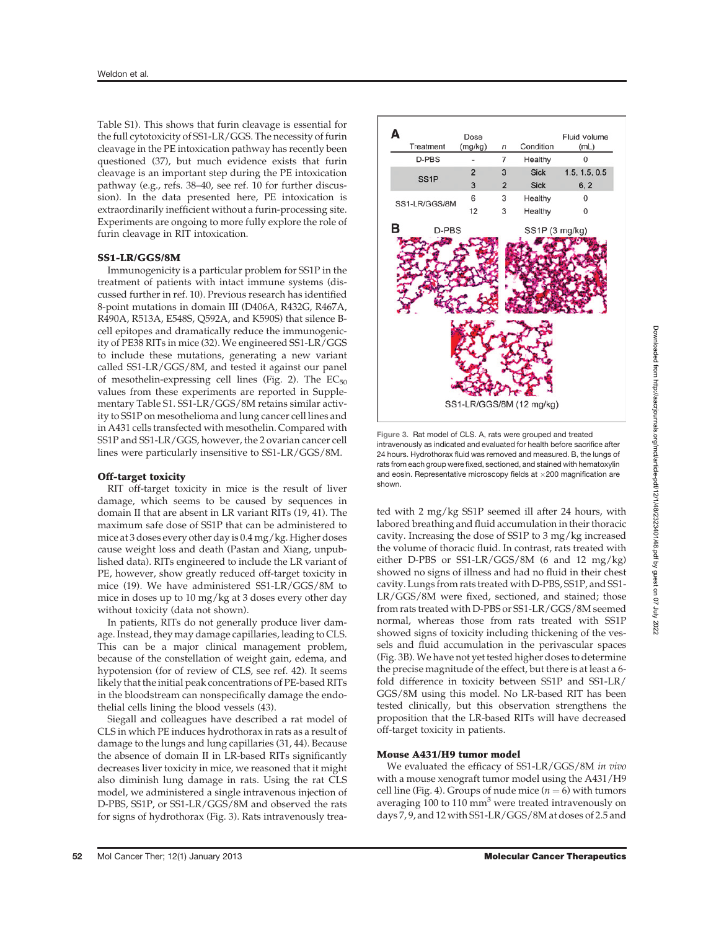Table S1). This shows that furin cleavage is essential for the full cytotoxicity of SS1-LR/GGS. The necessity of furin cleavage in the PE intoxication pathway has recently been questioned (37), but much evidence exists that furin cleavage is an important step during the PE intoxication pathway (e.g., refs. 38–40, see ref. 10 for further discussion). In the data presented here, PE intoxication is extraordinarily inefficient without a furin-processing site. Experiments are ongoing to more fully explore the role of furin cleavage in RIT intoxication.

## SS1-LR/GGS/8M

Immunogenicity is a particular problem for SS1P in the treatment of patients with intact immune systems (discussed further in ref. 10). Previous research has identified 8-point mutations in domain III (D406A, R432G, R467A, R490A, R513A, E548S, Q592A, and K590S) that silence Bcell epitopes and dramatically reduce the immunogenicity of PE38 RITs in mice (32). We engineered SS1-LR/GGS to include these mutations, generating a new variant called SS1-LR/GGS/8M, and tested it against our panel of mesothelin-expressing cell lines (Fig. 2). The  $EC_{50}$ values from these experiments are reported in Supplementary Table S1. SS1-LR/GGS/8M retains similar activity to SS1P on mesothelioma and lung cancer cell lines and in A431 cells transfected with mesothelin. Compared with SS1P and SS1-LR/GGS, however, the 2 ovarian cancer cell lines were particularly insensitive to SS1-LR/GGS/8M.

#### Off-target toxicity

RIT off-target toxicity in mice is the result of liver damage, which seems to be caused by sequences in domain II that are absent in LR variant RITs (19, 41). The maximum safe dose of SS1P that can be administered to mice at 3 doses every other day is 0.4 mg/kg. Higher doses cause weight loss and death (Pastan and Xiang, unpublished data). RITs engineered to include the LR variant of PE, however, show greatly reduced off-target toxicity in mice (19). We have administered SS1-LR/GGS/8M to mice in doses up to 10 mg/kg at 3 doses every other day without toxicity (data not shown).

In patients, RITs do not generally produce liver damage. Instead, they may damage capillaries, leading to CLS. This can be a major clinical management problem, because of the constellation of weight gain, edema, and hypotension (for of review of CLS, see ref. 42). It seems likely that the initial peak concentrations of PE-based RITs in the bloodstream can nonspecifically damage the endothelial cells lining the blood vessels (43).

Siegall and colleagues have described a rat model of CLS in which PE induces hydrothorax in rats as a result of damage to the lungs and lung capillaries (31, 44). Because the absence of domain II in LR-based RITs significantly decreases liver toxicity in mice, we reasoned that it might also diminish lung damage in rats. Using the rat CLS model, we administered a single intravenous injection of D-PBS, SS1P, or SS1-LR/GGS/8M and observed the rats for signs of hydrothorax (Fig. 3). Rats intravenously trea-



Figure 3. Rat model of CLS. A, rats were grouped and treated intravenously as indicated and evaluated for health before sacrifice after 24 hours. Hydrothorax fluid was removed and measured. B, the lungs of rats from each group were fixed, sectioned, and stained with hematoxylin and eosin. Representative microscopy fields at  $\times$  200 magnification are shown.

ted with 2 mg/kg SS1P seemed ill after 24 hours, with labored breathing and fluid accumulation in their thoracic cavity. Increasing the dose of SS1P to 3 mg/kg increased the volume of thoracic fluid. In contrast, rats treated with either D-PBS or SS1-LR/GGS/8M (6 and 12 mg/kg) showed no signs of illness and had no fluid in their chest cavity. Lungs from rats treated with D-PBS, SS1P, and SS1- LR/GGS/8M were fixed, sectioned, and stained; those from rats treated with D-PBS or SS1-LR/GGS/8M seemed normal, whereas those from rats treated with SS1P showed signs of toxicity including thickening of the vessels and fluid accumulation in the perivascular spaces (Fig. 3B). We have not yet tested higher doses to determine the precise magnitude of the effect, but there is at least a 6 fold difference in toxicity between SS1P and SS1-LR/ GGS/8M using this model. No LR-based RIT has been tested clinically, but this observation strengthens the proposition that the LR-based RITs will have decreased off-target toxicity in patients.

## Mouse A431/H9 tumor model

We evaluated the efficacy of SS1-LR/GGS/8M in vivo with a mouse xenograft tumor model using the A431/H9 cell line (Fig. 4). Groups of nude mice ( $n = 6$ ) with tumors averaging  $100$  to  $110 \text{ mm}^3$  were treated intravenously on days 7, 9, and 12 with SS1-LR/GGS/8M at doses of 2.5 and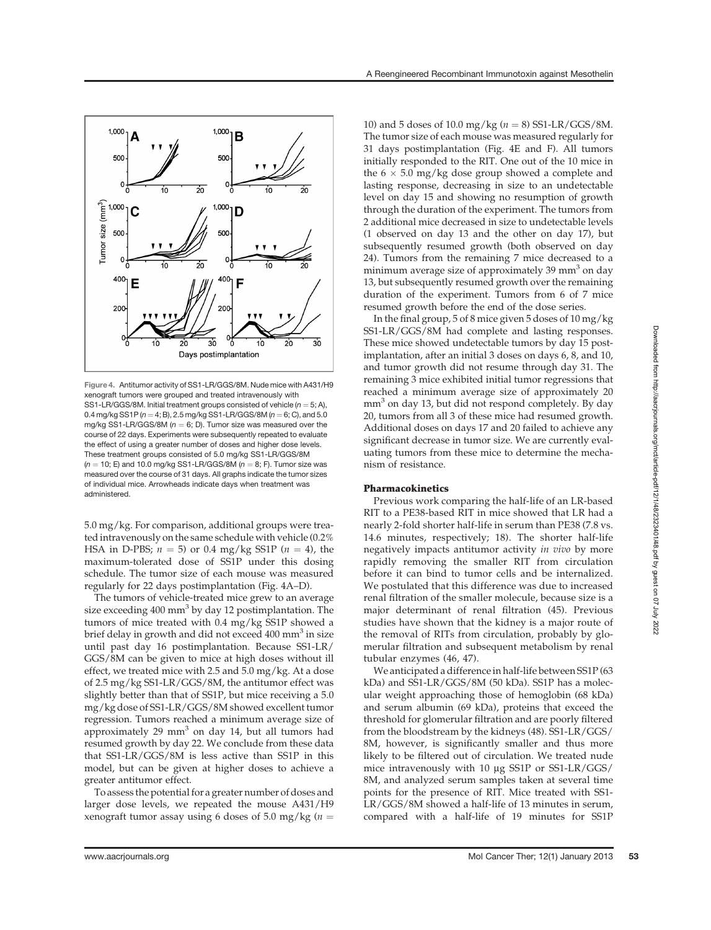

Figure 4. Antitumor activity of SS1-LR/GGS/8M. Nude mice with A431/H9 xenograft tumors were grouped and treated intravenously with SS1-LR/GGS/8M. Initial treatment groups consisted of vehicle ( $n = 5; A$ ), 0.4 mg/kg SS1P ( $n = 4$ ; B), 2.5 mg/kg SS1-LR/GGS/8M ( $n = 6$ ; C), and 5.0 mg/kg SS1-LR/GGS/8M ( $n = 6$ ; D). Tumor size was measured over the course of 22 days. Experiments were subsequently repeated to evaluate the effect of using a greater number of doses and higher dose levels. These treatment groups consisted of 5.0 mg/kg SS1-LR/GGS/8M  $(n = 10; E)$  and 10.0 mg/kg SS1-LR/GGS/8M  $(n = 8; F)$ . Tumor size was measured over the course of 31 days. All graphs indicate the tumor sizes of individual mice. Arrowheads indicate days when treatment was administered.

5.0 mg/kg. For comparison, additional groups were treated intravenously on the same schedule with vehicle (0.2% HSA in D-PBS;  $n = 5$ ) or 0.4 mg/kg SS1P ( $n = 4$ ), the maximum-tolerated dose of SS1P under this dosing schedule. The tumor size of each mouse was measured regularly for 22 days postimplantation (Fig. 4A–D).

The tumors of vehicle-treated mice grew to an average size exceeding  $400 \text{ mm}^3$  by day 12 postimplantation. The tumors of mice treated with 0.4 mg/kg SS1P showed a brief delay in growth and did not exceed  $400 \text{ mm}^3$  in size until past day 16 postimplantation. Because SS1-LR/ GGS/8M can be given to mice at high doses without ill effect, we treated mice with 2.5 and 5.0 mg/kg. At a dose of 2.5 mg/kg SS1-LR/GGS/8M, the antitumor effect was slightly better than that of SS1P, but mice receiving a 5.0 mg/kg dose of SS1-LR/GGS/8M showed excellent tumor regression. Tumors reached a minimum average size of approximately 29  $mm<sup>3</sup>$  on day 14, but all tumors had resumed growth by day 22. We conclude from these data that SS1-LR/GGS/8M is less active than SS1P in this model, but can be given at higher doses to achieve a greater antitumor effect.

To assess the potential for a greater number of doses and larger dose levels, we repeated the mouse A431/H9 xenograft tumor assay using 6 doses of 5.0 mg/kg ( $n =$ 

10) and 5 doses of 10.0 mg/kg ( $n = 8$ ) SS1-LR/GGS/8M. The tumor size of each mouse was measured regularly for 31 days postimplantation (Fig. 4E and F). All tumors initially responded to the RIT. One out of the 10 mice in the  $6 \times 5.0$  mg/kg dose group showed a complete and lasting response, decreasing in size to an undetectable level on day 15 and showing no resumption of growth through the duration of the experiment. The tumors from 2 additional mice decreased in size to undetectable levels (1 observed on day 13 and the other on day 17), but subsequently resumed growth (both observed on day 24). Tumors from the remaining 7 mice decreased to a minimum average size of approximately 39 mm<sup>3</sup> on day 13, but subsequently resumed growth over the remaining duration of the experiment. Tumors from 6 of 7 mice resumed growth before the end of the dose series.

In the final group, 5 of 8 mice given 5 doses of 10 mg/kg SS1-LR/GGS/8M had complete and lasting responses. These mice showed undetectable tumors by day 15 postimplantation, after an initial 3 doses on days 6, 8, and 10, and tumor growth did not resume through day 31. The remaining 3 mice exhibited initial tumor regressions that reached a minimum average size of approximately 20 mm<sup>3</sup> on day 13, but did not respond completely. By day 20, tumors from all 3 of these mice had resumed growth. Additional doses on days 17 and 20 failed to achieve any significant decrease in tumor size. We are currently evaluating tumors from these mice to determine the mechanism of resistance.

## Pharmacokinetics

Previous work comparing the half-life of an LR-based RIT to a PE38-based RIT in mice showed that LR had a nearly 2-fold shorter half-life in serum than PE38 (7.8 vs. 14.6 minutes, respectively; 18). The shorter half-life negatively impacts antitumor activity in vivo by more rapidly removing the smaller RIT from circulation before it can bind to tumor cells and be internalized. We postulated that this difference was due to increased renal filtration of the smaller molecule, because size is a major determinant of renal filtration (45). Previous studies have shown that the kidney is a major route of the removal of RITs from circulation, probably by glomerular filtration and subsequent metabolism by renal tubular enzymes (46, 47).

We anticipated a difference in half-life between SS1P (63 kDa) and SS1-LR/GGS/8M (50 kDa). SS1P has a molecular weight approaching those of hemoglobin (68 kDa) and serum albumin (69 kDa), proteins that exceed the threshold for glomerular filtration and are poorly filtered from the bloodstream by the kidneys (48). SS1-LR/GGS/ 8M, however, is significantly smaller and thus more likely to be filtered out of circulation. We treated nude mice intravenously with 10 µg SS1P or SS1-LR/GGS/ 8M, and analyzed serum samples taken at several time points for the presence of RIT. Mice treated with SS1- LR/GGS/8M showed a half-life of 13 minutes in serum, compared with a half-life of 19 minutes for SS1P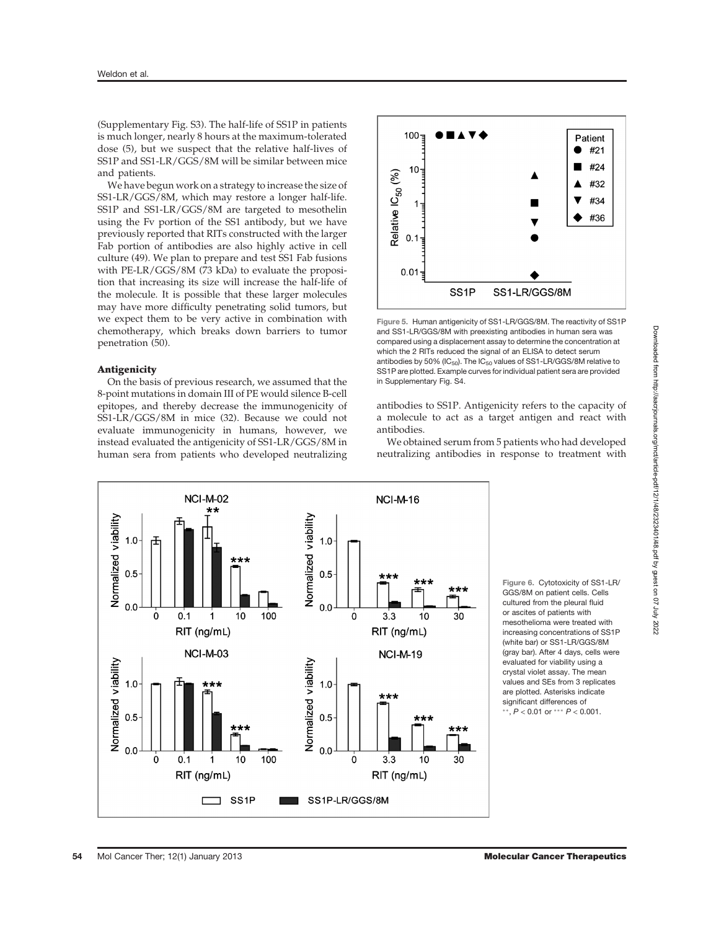(Supplementary Fig. S3). The half-life of SS1P in patients is much longer, nearly 8 hours at the maximum-tolerated dose (5), but we suspect that the relative half-lives of SS1P and SS1-LR/GGS/8M will be similar between mice and patients.

We have begun work on a strategy to increase the size of SS1-LR/GGS/8M, which may restore a longer half-life. SS1P and SS1-LR/GGS/8M are targeted to mesothelin using the Fv portion of the SS1 antibody, but we have previously reported that RITs constructed with the larger Fab portion of antibodies are also highly active in cell culture (49). We plan to prepare and test SS1 Fab fusions with PE-LR/GGS/8M (73 kDa) to evaluate the proposition that increasing its size will increase the half-life of the molecule. It is possible that these larger molecules may have more difficulty penetrating solid tumors, but we expect them to be very active in combination with chemotherapy, which breaks down barriers to tumor penetration (50).

#### **Antigenicity**

On the basis of previous research, we assumed that the 8-point mutations in domain III of PE would silence B-cell epitopes, and thereby decrease the immunogenicity of SS1-LR/GGS/8M in mice (32). Because we could not evaluate immunogenicity in humans, however, we instead evaluated the antigenicity of SS1-LR/GGS/8M in human sera from patients who developed neutralizing



Figure 5. Human antigenicity of SS1-LR/GGS/8M. The reactivity of SS1P and SS1-LR/GGS/8M with preexisting antibodies in human sera was compared using a displacement assay to determine the concentration at which the 2 RITs reduced the signal of an ELISA to detect serum antibodies by 50% (IC $_{50}$ ). The IC $_{50}$  values of SS1-LR/GGS/8M relative to SS1P are plotted. Example curves for individual patient sera are provided in Supplementary Fig. S4.

antibodies to SS1P. Antigenicity refers to the capacity of a molecule to act as a target antigen and react with antibodies.

We obtained serum from 5 patients who had developed neutralizing antibodies in response to treatment with



Figure 6. Cytotoxicity of SS1-LR/ GGS/8M on patient cells. Cells cultured from the pleural fluid or ascites of patients with mesothelioma were treated with increasing concentrations of SS1P (white bar) or SS1-LR/GGS/8M (gray bar). After 4 days, cells were evaluated for viability using a crystal violet assay. The mean values and SEs from 3 replicates are plotted. Asterisks indicate significant differences of  $^{**}$ ,  $P < 0.01$  or  $^{***}$   $P < 0.001$ .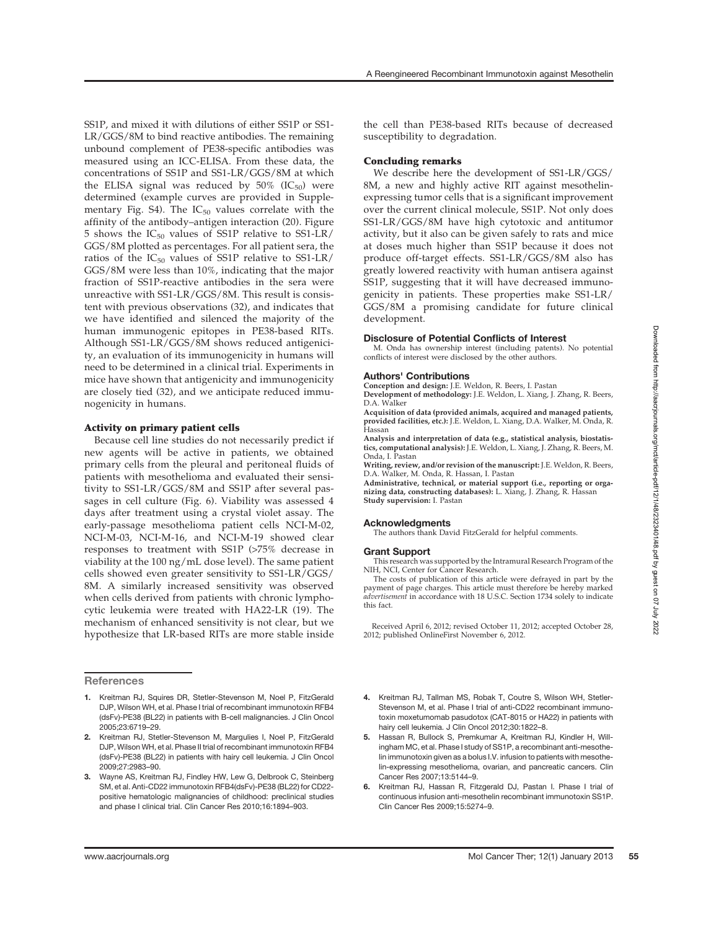SS1P, and mixed it with dilutions of either SS1P or SS1- LR/GGS/8M to bind reactive antibodies. The remaining unbound complement of PE38-specific antibodies was measured using an ICC-ELISA. From these data, the concentrations of SS1P and SS1-LR/GGS/8M at which the ELISA signal was reduced by  $50\%$  (IC<sub>50</sub>) were determined (example curves are provided in Supplementary Fig. S4). The  $IC_{50}$  values correlate with the affinity of the antibody–antigen interaction (20). Figure 5 shows the  $IC_{50}$  values of SS1P relative to SS1-LR/ GGS/8M plotted as percentages. For all patient sera, the ratios of the IC50 values of SS1P relative to SS1-LR/ GGS/8M were less than 10%, indicating that the major fraction of SS1P-reactive antibodies in the sera were unreactive with SS1-LR/GGS/8M. This result is consistent with previous observations (32), and indicates that we have identified and silenced the majority of the human immunogenic epitopes in PE38-based RITs. Although SS1-LR/GGS/8M shows reduced antigenicity, an evaluation of its immunogenicity in humans will need to be determined in a clinical trial. Experiments in mice have shown that antigenicity and immunogenicity are closely tied (32), and we anticipate reduced immunogenicity in humans.

## Activity on primary patient cells

Because cell line studies do not necessarily predict if new agents will be active in patients, we obtained primary cells from the pleural and peritoneal fluids of patients with mesothelioma and evaluated their sensitivity to SS1-LR/GGS/8M and SS1P after several passages in cell culture (Fig. 6). Viability was assessed 4 days after treatment using a crystal violet assay. The early-passage mesothelioma patient cells NCI-M-02, NCI-M-03, NCI-M-16, and NCI-M-19 showed clear responses to treatment with SS1P (>75% decrease in viability at the 100 ng/mL dose level). The same patient cells showed even greater sensitivity to SS1-LR/GGS/ 8M. A similarly increased sensitivity was observed when cells derived from patients with chronic lymphocytic leukemia were treated with HA22-LR (19). The mechanism of enhanced sensitivity is not clear, but we hypothesize that LR-based RITs are more stable inside

## **References**

- 1. Kreitman RJ, Squires DR, Stetler-Stevenson M, Noel P, FitzGerald DJP, Wilson WH, et al. Phase I trial of recombinant immunotoxin RFB4 (dsFv)-PE38 (BL22) in patients with B-cell malignancies. J Clin Oncol 2005;23:6719–29.
- 2. Kreitman RJ, Stetler-Stevenson M, Margulies I, Noel P, FitzGerald DJP, Wilson WH, et al. Phase II trial of recombinant immunotoxin RFB4 (dsFv)-PE38 (BL22) in patients with hairy cell leukemia. J Clin Oncol 2009;27:2983–90.
- 3. Wayne AS, Kreitman RJ, Findley HW, Lew G, Delbrook C, Steinberg SM, et al. Anti-CD22 immunotoxin RFB4(dsFv)-PE38 (BL22) for CD22 positive hematologic malignancies of childhood: preclinical studies and phase I clinical trial. Clin Cancer Res 2010;16:1894–903.

the cell than PE38-based RITs because of decreased susceptibility to degradation.

## Concluding remarks

We describe here the development of SS1-LR/GGS/ 8M, a new and highly active RIT against mesothelinexpressing tumor cells that is a significant improvement over the current clinical molecule, SS1P. Not only does SS1-LR/GGS/8M have high cytotoxic and antitumor activity, but it also can be given safely to rats and mice at doses much higher than SS1P because it does not produce off-target effects. SS1-LR/GGS/8M also has greatly lowered reactivity with human antisera against SS1P, suggesting that it will have decreased immunogenicity in patients. These properties make SS1-LR/ GGS/8M a promising candidate for future clinical development.

#### Disclosure of Potential Conflicts of Interest

M. Onda has ownership interest (including patents). No potential conflicts of interest were disclosed by the other authors.

#### Authors' Contributions

Conception and design: J.E. Weldon, R. Beers, I. Pastan Development of methodology: J.E. Weldon, L. Xiang, J. Zhang, R. Beers, D.A. Walker

Acquisition of data (provided animals, acquired and managed patients, provided facilities, etc.): J.E. Weldon, L. Xiang, D.A. Walker, M. Onda, R. Hassan

Analysis and interpretation of data (e.g., statistical analysis, biostatis-tics, computational analysis): J.E. Weldon, L. Xiang, J. Zhang, R. Beers, M. Onda, I. Pastan

Writing, review, and/or revision of the manuscript: J.E. Weldon, R. Beers, D.A. Walker, M. Onda, R. Hassan, I. Pastan

Administrative, technical, or material support (i.e., reporting or organizing data, constructing databases): L. Xiang, J. Zhang, R. Hassan Study supervision: I. Pastan

#### Acknowledgments

The authors thank David FitzGerald for helpful comments.

#### Grant Support

This research was supported by the Intramural Research Program of the NIH, NCI, Center for Cancer Research.

The costs of publication of this article were defrayed in part by the payment of page charges. This article must therefore be hereby marked advertisement in accordance with 18 U.S.C. Section 1734 solely to indicate this fact.

Received April 6, 2012; revised October 11, 2012; accepted October 28, 2012; published OnlineFirst November 6, 2012.

- 4. Kreitman RJ, Tallman MS, Robak T, Coutre S, Wilson WH, Stetler-Stevenson M, et al. Phase I trial of anti-CD22 recombinant immunotoxin moxetumomab pasudotox (CAT-8015 or HA22) in patients with hairy cell leukemia. J Clin Oncol 2012;30:1822-8.
- 5. Hassan R, Bullock S, Premkumar A, Kreitman RJ, Kindler H, Willingham MC, et al. Phase I study of SS1P, a recombinant anti-mesothelin immunotoxin given as a bolus I.V. infusion to patients with mesothelin-expressing mesothelioma, ovarian, and pancreatic cancers. Clin Cancer Res 2007;13:5144–9.
- 6. Kreitman RJ, Hassan R, Fitzgerald DJ, Pastan I. Phase I trial of continuous infusion anti-mesothelin recombinant immunotoxin SS1P. Clin Cancer Res 2009;15:5274–9.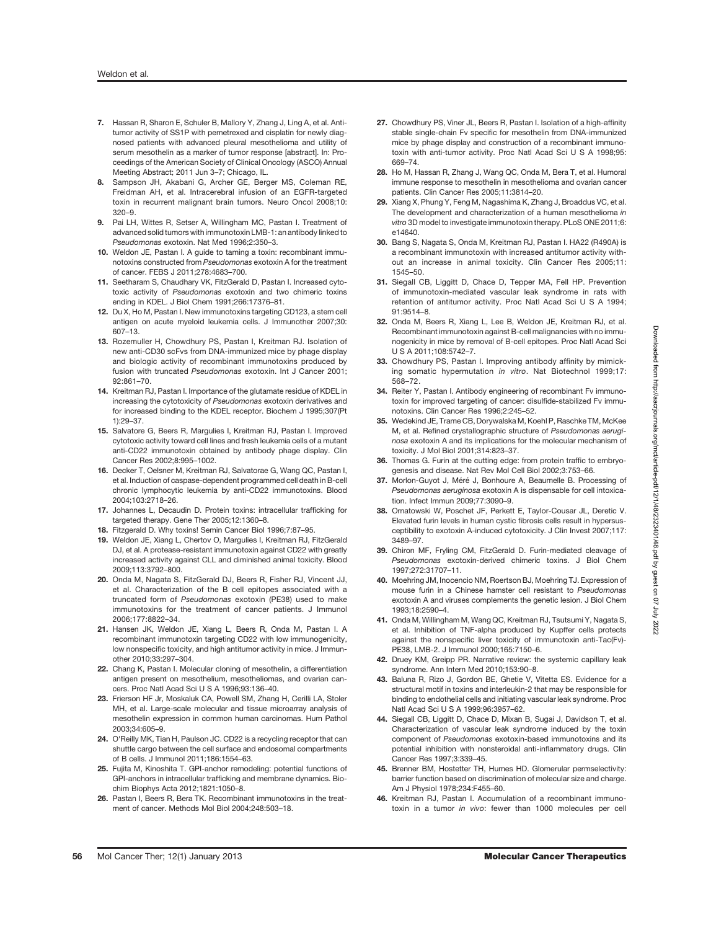- 7. Hassan R, Sharon E, Schuler B, Mallory Y, Zhang J, Ling A, et al. Antitumor activity of SS1P with pemetrexed and cisplatin for newly diagnosed patients with advanced pleural mesothelioma and utility of serum mesothelin as a marker of tumor response [abstract]. In: Proceedings of the American Society of Clinical Oncology (ASCO) Annual Meeting Abstract; 2011 Jun 3–7; Chicago, IL.
- 8. Sampson JH, Akabani G, Archer GE, Berger MS, Coleman RE, Freidman AH, et al. Intracerebral infusion of an EGFR-targeted toxin in recurrent malignant brain tumors. Neuro Oncol 2008;10: 320–9.
- 9. Pai LH, Wittes R, Setser A, Willingham MC, Pastan I. Treatment of advanced solid tumors with immunotoxin LMB-1: an antibody linked to Pseudomonas exotoxin. Nat Med 1996;2:350–3.
- 10. Weldon JE, Pastan I. A quide to taming a toxin: recombinant immunotoxins constructed from Pseudomonas exotoxin A for the treatment of cancer. FEBS J 2011;278:4683–700.
- 11. Seetharam S, Chaudhary VK, FitzGerald D, Pastan I. Increased cytotoxic activity of Pseudomonas exotoxin and two chimeric toxins ending in KDEL. J Biol Chem 1991;266:17376–81.
- 12. Du X, Ho M, Pastan I. New immunotoxins targeting CD123, a stem cell antigen on acute myeloid leukemia cells. J Immunother 2007;30: 607–13.
- 13. Rozemuller H, Chowdhury PS, Pastan I, Kreitman RJ, Isolation of new anti-CD30 scFvs from DNA-immunized mice by phage display and biologic activity of recombinant immunotoxins produced by fusion with truncated Pseudomonas exotoxin. Int J Cancer 2001; 92:861–70.
- 14. Kreitman RJ, Pastan I. Importance of the glutamate residue of KDEL in increasing the cytotoxicity of Pseudomonas exotoxin derivatives and for increased binding to the KDEL receptor. Biochem J 1995;307(Pt 1):29–37.
- 15. Salvatore G, Beers R, Margulies I, Kreitman RJ, Pastan I. Improved cytotoxic activity toward cell lines and fresh leukemia cells of a mutant anti-CD22 immunotoxin obtained by antibody phage display. Clin Cancer Res 2002;8:995–1002.
- 16. Decker T, Oelsner M, Kreitman RJ, Salvatorae G, Wang QC, Pastan I, et al. Induction of caspase-dependent programmed cell death in B-cell chronic lymphocytic leukemia by anti-CD22 immunotoxins. Blood 2004;103:2718–26.
- 17. Johannes L, Decaudin D. Protein toxins: intracellular trafficking for targeted therapy. Gene Ther 2005;12:1360–8.
- 18. Fitzgerald D. Why toxins! Semin Cancer Biol 1996;7:87–95.
- 19. Weldon JE, Xiang L, Chertov O, Margulies I, Kreitman RJ, FitzGerald DJ, et al. A protease-resistant immunotoxin against CD22 with greatly increased activity against CLL and diminished animal toxicity. Blood 2009;113:3792–800.
- 20. Onda M, Nagata S, FitzGerald DJ, Beers R, Fisher RJ, Vincent JJ, et al. Characterization of the B cell epitopes associated with a truncated form of Pseudomonas exotoxin (PE38) used to make immunotoxins for the treatment of cancer patients. J Immunol 2006;177:8822–34.
- 21. Hansen JK, Weldon JE, Xiang L, Beers R, Onda M, Pastan I. A recombinant immunotoxin targeting CD22 with low immunogenicity, low nonspecific toxicity, and high antitumor activity in mice. J Immunother 2010;33:297–304.
- 22. Chang K, Pastan I. Molecular cloning of mesothelin, a differentiation antigen present on mesothelium, mesotheliomas, and ovarian cancers. Proc Natl Acad Sci U S A 1996;93:136–40.
- 23. Frierson HF Jr, Moskaluk CA, Powell SM, Zhang H, Cerilli LA, Stoler MH, et al. Large-scale molecular and tissue microarray analysis of mesothelin expression in common human carcinomas. Hum Pathol 2003;34:605–9.
- 24. O'Reilly MK, Tian H, Paulson JC. CD22 is a recycling receptor that can shuttle cargo between the cell surface and endosomal compartments of B cells. J Immunol 2011;186:1554–63.
- 25. Fujita M, Kinoshita T. GPI-anchor remodeling: potential functions of GPI-anchors in intracellular trafficking and membrane dynamics. Biochim Biophys Acta 2012;1821:1050–8.
- 26. Pastan I, Beers R, Bera TK. Recombinant immunotoxins in the treatment of cancer. Methods Mol Biol 2004;248:503–18.
- 27. Chowdhury PS, Viner JL, Beers R, Pastan I, Isolation of a high-affinity stable single-chain Fv specific for mesothelin from DNA-immunized mice by phage display and construction of a recombinant immunotoxin with anti-tumor activity. Proc Natl Acad Sci U S A 1998;95: 669–74.
- 28. Ho M, Hassan R, Zhang J, Wang QC, Onda M, Bera T, et al. Humoral immune response to mesothelin in mesothelioma and ovarian cancer patients. Clin Cancer Res 2005;11:3814–20.
- 29. Xiang X, Phung Y, Feng M, Nagashima K, Zhang J, Broaddus VC, et al. The development and characterization of a human mesothelioma in vitro 3D model to investigate immunotoxin therapy. PLoS ONE 2011;6: e14640.
- 30. Bang S, Nagata S, Onda M, Kreitman RJ, Pastan I. HA22 (R490A) is a recombinant immunotoxin with increased antitumor activity without an increase in animal toxicity. Clin Cancer Res 2005;11: 1545–50.
- 31. Siegall CB, Liggitt D, Chace D, Tepper MA, Fell HP. Prevention of immunotoxin-mediated vascular leak syndrome in rats with retention of antitumor activity. Proc Natl Acad Sci U S A 1994; 91:9514–8.
- 32. Onda M, Beers R, Xiang L, Lee B, Weldon JE, Kreitman RJ, et al. Recombinant immunotoxin against B-cell malignancies with no immunogenicity in mice by removal of B-cell epitopes. Proc Natl Acad Sci U S A 2011;108:5742–7.
- 33. Chowdhury PS, Pastan I. Improving antibody affinity by mimicking somatic hypermutation in vitro. Nat Biotechnol 1999;17: 568–72.
- 34. Reiter Y, Pastan I. Antibody engineering of recombinant Fv immunotoxin for improved targeting of cancer: disulfide-stabilized Fv immunotoxins. Clin Cancer Res 1996;2:245–52.
- 35. Wedekind JE, Trame CB, Dorywalska M, Koehl P, Raschke TM, McKee M, et al. Refined crystallographic structure of Pseudomonas aeruginosa exotoxin A and its implications for the molecular mechanism of toxicity. J Mol Biol 2001;314:823–37.
- 36. Thomas G. Furin at the cutting edge: from protein traffic to embryogenesis and disease. Nat Rev Mol Cell Biol 2002;3:753–66.
- 37. Morlon-Guyot J, Méré J, Bonhoure A, Beaumelle B. Processing of Pseudomonas aeruginosa exotoxin A is dispensable for cell intoxication. Infect Immun 2009;77:3090–9.
- 38. Ornatowski W, Poschet JF, Perkett E, Taylor-Cousar JL, Deretic V. Elevated furin levels in human cystic fibrosis cells result in hypersusceptibility to exotoxin A-induced cytotoxicity. J Clin Invest 2007;117: 3489–97.
- 39. Chiron MF, Fryling CM, FitzGerald D. Furin-mediated cleavage of Pseudomonas exotoxin-derived chimeric toxins. J Biol Chem 1997;272:31707–11.
- 40. Moehring JM, Inocencio NM, Roertson BJ, Moehring TJ. Expression of mouse furin in a Chinese hamster cell resistant to Pseudomonas exotoxin A and viruses complements the genetic lesion. J Biol Chem 1993;18:2590–4.
- 41. Onda M, Willingham M, Wang QC, Kreitman RJ, Tsutsumi Y, Nagata S, et al. Inhibition of TNF-alpha produced by Kupffer cells protects against the nonspecific liver toxicity of immunotoxin anti-Tac(Fv)- PE38, LMB-2. J Immunol 2000;165:7150–6.
- 42. Druey KM, Greipp PR. Narrative review: the systemic capillary leak syndrome. Ann Intern Med 2010;153:90–8.
- 43. Baluna R, Rizo J, Gordon BE, Ghetie V, Vitetta ES. Evidence for a structural motif in toxins and interleukin-2 that may be responsible for binding to endothelial cells and initiating vascular leak syndrome. Proc Natl Acad Sci U S A 1999;96:3957–62.
- 44. Siegall CB, Liggitt D, Chace D, Mixan B, Sugai J, Davidson T, et al. Characterization of vascular leak syndrome induced by the toxin component of Pseudomonas exotoxin-based immunotoxins and its potential inhibition with nonsteroidal anti-inflammatory drugs. Clin Cancer Res 1997;3:339–45.
- 45. Brenner BM, Hostetter TH, Humes HD. Glomerular permselectivity: barrier function based on discrimination of molecular size and charge. Am J Physiol 1978;234:F455–60.
- 46. Kreitman RJ, Pastan I. Accumulation of a recombinant immunotoxin in a tumor in vivo: fewer than 1000 molecules per cell

Downloaded from http://aacrjournals.org/mct/article-pdf/12/1/48/2323401/48.pdf by guest on 07 Downloaded from http://aacrjournals.org/mct/article-pdf/12/1/48/2323401/48.pdf by guest on 07 July 2022

**July 2022**